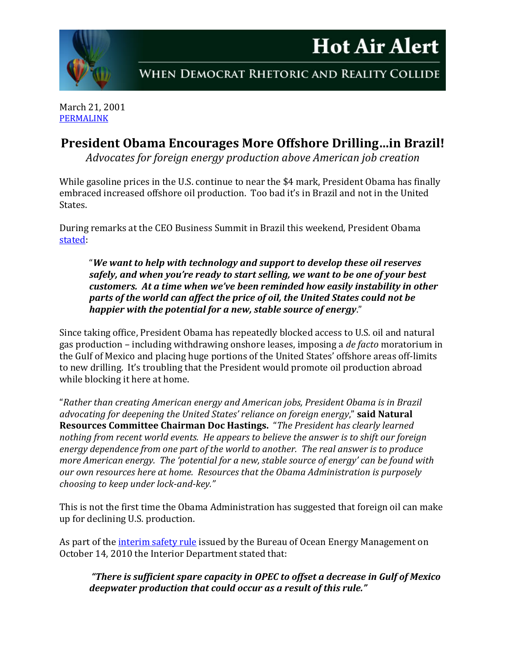



WHEN DEMOCRAT RHETORIC AND REALITY COLLIDE

March 21, 2001 [PERMALINK](http://naturalresources.house.gov/News/DocumentSingle.aspx?DocumentID=230096)

## **President Obama Encourages More Offshore Drilling…in Brazil!**

*Advocates for foreign energy production above American job creation*

While gasoline prices in the U.S. continue to near the \$4 mark, President Obama has finally embraced increased offshore oil production. Too bad it's in Brazil and not in the United States.

During remarks at the CEO Business Summit in Brazil this weekend, President Obama [stated:](http://www.whitehouse.gov/the-press-office/2011/03/19/remarks-president-ceo-business-summit-brasilia-brazil)

"*We want to help with technology and support to develop these oil reserves safely, and when you're ready to start selling, we want to be one of your best customers. At a time when we've been reminded how easily instability in other parts of the world can affect the price of oil, the United States could not be happier with the potential for a new, stable source of energy*."

Since taking office, President Obama has repeatedly blocked access to U.S. oil and natural gas production – including withdrawing onshore leases, imposing a *de facto* moratorium in the Gulf of Mexico and placing huge portions of the United States' offshore areas off-limits to new drilling. It's troubling that the President would promote oil production abroad while blocking it here at home.

"*Rather than creating American energy and American jobs, President Obama is in Brazil advocating for deepening the United States' reliance on foreign energy*," **said Natural Resources Committee Chairman Doc Hastings.** "*The President has clearly learned nothing from recent world events. He appears to believe the answer is to shift our foreign energy dependence from one part of the world to another. The real answer is to produce more American energy. The 'potential for a new, stable source of energy' can be found with our own resources here at home. Resources that the Obama Administration is purposely choosing to keep under lock-and-key."* 

This is not the first time the Obama Administration has suggested that foreign oil can make up for declining U.S. production.

As part of the [interim safety rule](http://edocket.access.gpo.gov/2010/2010-25256.htm) issued by the Bureau of Ocean Energy Management on October 14, 2010 the Interior Department stated that:

*"There is sufficient spare capacity in OPEC to offset a decrease in Gulf of Mexico deepwater production that could occur as a result of this rule."*